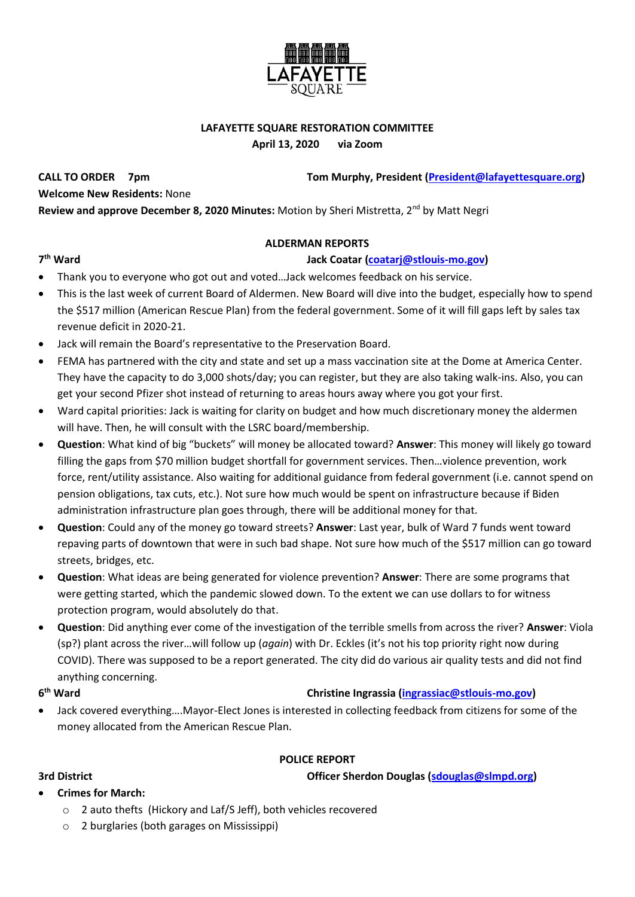

# **LAFAYETTE SQUARE RESTORATION COMMITTEE**

**April 13, 2020 via Zoom**

**CALL TO ORDER 7pm Tom Murphy, President [\(President@lafayettesquare.org\)](mailto:President@lafayettesquare.org)** 

**Welcome New Residents:** None

**Review and approve December 8, 2020 Minutes:** Motion by Sheri Mistretta, 2<sup>nd</sup> by Matt Negri

### **ALDERMAN REPORTS**

### **th Ward Jack Coatar [\(coatarj@stlouis-mo.gov\)](mailto:coatarj@stlouis-mo.gov)**

- Thank you to everyone who got out and voted…Jack welcomes feedback on his service.
- This is the last week of current Board of Aldermen. New Board will dive into the budget, especially how to spend the \$517 million (American Rescue Plan) from the federal government. Some of it will fill gaps left by sales tax revenue deficit in 2020-21.
- Jack will remain the Board's representative to the Preservation Board.
- FEMA has partnered with the city and state and set up a mass vaccination site at the Dome at America Center. They have the capacity to do 3,000 shots/day; you can register, but they are also taking walk-ins. Also, you can get your second Pfizer shot instead of returning to areas hours away where you got your first.
- Ward capital priorities: Jack is waiting for clarity on budget and how much discretionary money the aldermen will have. Then, he will consult with the LSRC board/membership.
- **Question**: What kind of big "buckets" will money be allocated toward? **Answer**: This money will likely go toward filling the gaps from \$70 million budget shortfall for government services. Then…violence prevention, work force, rent/utility assistance. Also waiting for additional guidance from federal government (i.e. cannot spend on pension obligations, tax cuts, etc.). Not sure how much would be spent on infrastructure because if Biden administration infrastructure plan goes through, there will be additional money for that.
- **Question**: Could any of the money go toward streets? **Answer**: Last year, bulk of Ward 7 funds went toward repaving parts of downtown that were in such bad shape. Not sure how much of the \$517 million can go toward streets, bridges, etc.
- **Question**: What ideas are being generated for violence prevention? **Answer**: There are some programs that were getting started, which the pandemic slowed down. To the extent we can use dollars to for witness protection program, would absolutely do that.
- **Question**: Did anything ever come of the investigation of the terrible smells from across the river? **Answer**: Viola (sp?) plant across the river…will follow up (*again*) with Dr. Eckles (it's not his top priority right now during COVID). There was supposed to be a report generated. The city did do various air quality tests and did not find anything concerning.

### **6**

# **christine Ingrassia [\(ingrassiac@stlouis-mo.gov\)](mailto:ingrassiac@stlouis-mo.gov)**

• Jack covered everything….Mayor-Elect Jones is interested in collecting feedback from citizens for some of the money allocated from the American Rescue Plan.

# **POLICE REPORT**

**3rd District Officer Sherdon Douglas [\(sdouglas@slmpd.org\)](mailto:sdouglas@slmpd.org)** 

- **Crimes for March:**
	- o 2 auto thefts (Hickory and Laf/S Jeff), both vehicles recovered
	- o 2 burglaries (both garages on Mississippi)

# 7<sup>th</sup> Ward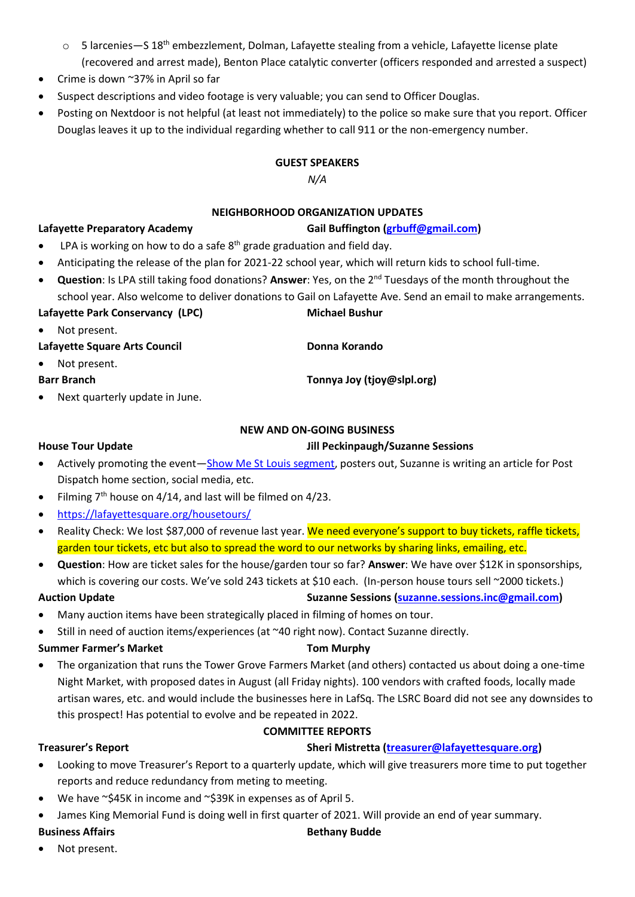- o 5 larcenies—S 18<sup>th</sup> embezzlement, Dolman, Lafayette stealing from a vehicle, Lafayette license plate (recovered and arrest made), Benton Place catalytic converter (officers responded and arrested a suspect)
- Crime is down ~37% in April so far
- Suspect descriptions and video footage is very valuable; you can send to Officer Douglas.
- Posting on Nextdoor is not helpful (at least not immediately) to the police so make sure that you report. Officer Douglas leaves it up to the individual regarding whether to call 911 or the non-emergency number.

### **GUEST SPEAKERS**

*N/A*

## **NEIGHBORHOOD ORGANIZATION UPDATES**

### **Lafayette Preparatory Academy Gail Buffington [\(grbuff@gmail.com\)](mailto:grbuff@gmail.com)**

- LPA is working on how to do a safe  $8<sup>th</sup>$  grade graduation and field day.
- Anticipating the release of the plan for 2021-22 school year, which will return kids to school full-time.
- **Question**: Is LPA still taking food donations? **Answer**: Yes, on the 2nd Tuesdays of the month throughout the school year. Also welcome to deliver donations to Gail on Lafayette Ave. Send an email to make arrangements.

# Lafayette Park Conservancy (LPC) Michael Bushur Not present.

- Lafayette Square Arts Council **Donna Korando**
- Not present.

### **Barr Branch Tonnya Joy (tjoy@slpl.org)**

• Next quarterly update in June.

# **NEW AND ON-GOING BUSINESS**

# **House Tour Update Jill Peckinpaugh/Suzanne Sessions**

- Actively promoting the event—[Show Me St Louis](https://www.ksdk.com/article/entertainment/television/show-me-st-louis/lafayette-square-house-tour-celebrates-51-years/63-67e0bbf5-4498-4fb8-a0e4-ffc59a2d7268) segment, posters out, Suzanne is writing an article for Post Dispatch home section, social media, etc.
- Filming  $7<sup>th</sup>$  house on 4/14, and last will be filmed on 4/23.
- <https://lafayettesquare.org/housetours/>
- Reality Check: We lost \$87,000 of revenue last year. We need everyone's support to buy tickets, raffle tickets, garden tour tickets, etc but also to spread the word to our networks by sharing links, emailing, etc.
- **Question**: How are ticket sales for the house/garden tour so far? **Answer**: We have over \$12K in sponsorships, which is covering our costs. We've sold 243 tickets at \$10 each. (In-person house tours sell ~2000 tickets.)

### **Auction Update Suzanne Sessions [\(suzanne.sessions.inc@gmail.com\)](mailto:suzanne.sessions.inc@gmail.com)**

- Many auction items have been strategically placed in filming of homes on tour.
- Still in need of auction items/experiences (at  $\sim$  40 right now). Contact Suzanne directly.

### **Summer Farmer's Market Tom Murphy**

• The organization that runs the Tower Grove Farmers Market (and others) contacted us about doing a one-time Night Market, with proposed dates in August (all Friday nights). 100 vendors with crafted foods, locally made artisan wares, etc. and would include the businesses here in LafSq. The LSRC Board did not see any downsides to this prospect! Has potential to evolve and be repeated in 2022.

### **COMMITTEE REPORTS**

# **Treasurer's Report Sheri Mistretta [\(treasurer@lafayettesquare.org\)](mailto:treasurer@lafayettesquare.org)**

- Looking to move Treasurer's Report to a quarterly update, which will give treasurers more time to put together reports and reduce redundancy from meting to meeting.
- We have ~\$45K in income and ~\$39K in expenses as of April 5.
- James King Memorial Fund is doing well in first quarter of 2021. Will provide an end of year summary.

# **Business Affairs Business Affairs Business Affairs Business Affairs Business Affairs**

Not present.